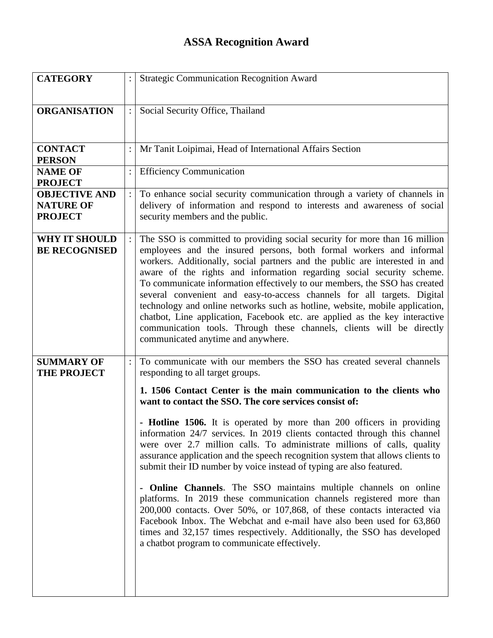## **ASSA Recognition Award**

| <b>CATEGORY</b>                                            | <b>Strategic Communication Recognition Award</b>                                                                                                                                                                                                                                                                                                                                                                                                                                                                                                                                                                                                                                                                                                                                                                                                                                                                                                                                                                                                                              |
|------------------------------------------------------------|-------------------------------------------------------------------------------------------------------------------------------------------------------------------------------------------------------------------------------------------------------------------------------------------------------------------------------------------------------------------------------------------------------------------------------------------------------------------------------------------------------------------------------------------------------------------------------------------------------------------------------------------------------------------------------------------------------------------------------------------------------------------------------------------------------------------------------------------------------------------------------------------------------------------------------------------------------------------------------------------------------------------------------------------------------------------------------|
| <b>ORGANISATION</b>                                        | Social Security Office, Thailand                                                                                                                                                                                                                                                                                                                                                                                                                                                                                                                                                                                                                                                                                                                                                                                                                                                                                                                                                                                                                                              |
| <b>CONTACT</b><br><b>PERSON</b>                            | Mr Tanit Loipimai, Head of International Affairs Section                                                                                                                                                                                                                                                                                                                                                                                                                                                                                                                                                                                                                                                                                                                                                                                                                                                                                                                                                                                                                      |
| <b>NAME OF</b><br><b>PROJECT</b>                           | <b>Efficiency Communication</b>                                                                                                                                                                                                                                                                                                                                                                                                                                                                                                                                                                                                                                                                                                                                                                                                                                                                                                                                                                                                                                               |
| <b>OBJECTIVE AND</b><br><b>NATURE OF</b><br><b>PROJECT</b> | To enhance social security communication through a variety of channels in<br>delivery of information and respond to interests and awareness of social<br>security members and the public.                                                                                                                                                                                                                                                                                                                                                                                                                                                                                                                                                                                                                                                                                                                                                                                                                                                                                     |
| <b>WHY IT SHOULD</b><br><b>BE RECOGNISED</b>               | The SSO is committed to providing social security for more than 16 million<br>employees and the insured persons, both formal workers and informal<br>workers. Additionally, social partners and the public are interested in and<br>aware of the rights and information regarding social security scheme.<br>To communicate information effectively to our members, the SSO has created<br>several convenient and easy-to-access channels for all targets. Digital<br>technology and online networks such as hotline, website, mobile application,<br>chatbot, Line application, Facebook etc. are applied as the key interactive<br>communication tools. Through these channels, clients will be directly<br>communicated anytime and anywhere.                                                                                                                                                                                                                                                                                                                              |
| <b>SUMMARY OF</b><br><b>THE PROJECT</b>                    | To communicate with our members the SSO has created several channels<br>responding to all target groups.<br>1. 1506 Contact Center is the main communication to the clients who<br>want to contact the SSO. The core services consist of:<br>- Hotline 1506. It is operated by more than 200 officers in providing<br>information 24/7 services. In 2019 clients contacted through this channel<br>were over 2.7 million calls. To administrate millions of calls, quality<br>assurance application and the speech recognition system that allows clients to<br>submit their ID number by voice instead of typing are also featured.<br><b>Online Channels</b> . The SSO maintains multiple channels on online<br>-<br>platforms. In 2019 these communication channels registered more than<br>200,000 contacts. Over 50%, or 107,868, of these contacts interacted via<br>Facebook Inbox. The Webchat and e-mail have also been used for 63,860<br>times and 32,157 times respectively. Additionally, the SSO has developed<br>a chatbot program to communicate effectively. |